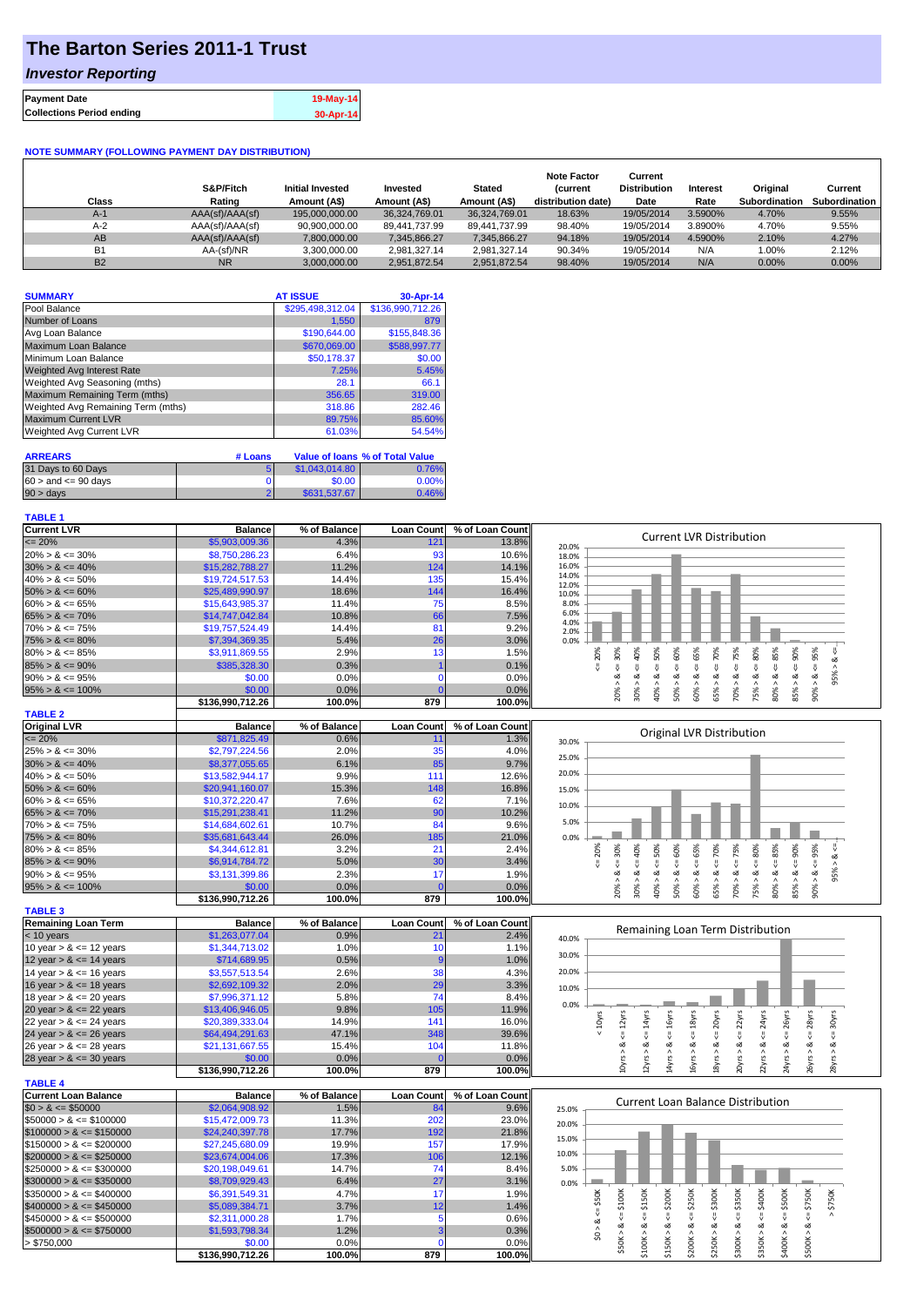# **The Barton Series 2011-1 Trust**

### *Investor Reporting*

| <b>Payment Date</b>              | 19-May-14 |
|----------------------------------|-----------|
| <b>Collections Period ending</b> | 30-Apr-14 |

### **NOTE SUMMARY (FOLLOWING PAYMENT DAY DISTRIBUTION)**

| Class     | S&P/Fitch<br>Rating | <b>Initial Invested</b><br>Amount (A\$) | Invested<br>Amount (A\$) | <b>Stated</b><br>Amount (A\$) | <b>Note Factor</b><br><b>Current</b><br>distribution date) | Current<br><b>Distribution</b><br>Date | Interest<br>Rate | Original<br><b>Subordination</b> | Current<br>Subordination |
|-----------|---------------------|-----------------------------------------|--------------------------|-------------------------------|------------------------------------------------------------|----------------------------------------|------------------|----------------------------------|--------------------------|
| $A-1$     | AAA(sf)/AAA(sf)     | 195.000.000.00                          | 36.324.769.01            | 36,324,769.01                 | 18.63%                                                     | 19/05/2014                             | 3.5900%          | 4.70%                            | 9.55%                    |
| $A-2$     | AAA(sf)/AAA(sf)     | 90.900.000.00                           | 89.441.737.99            | 89.441.737.99                 | 98.40%                                                     | 19/05/2014                             | 3.8900%          | 4.70%                            | 9.55%                    |
| AB        | AAA(sf)/AAA(sf)     | 7.800.000.00                            | 7.345.866.27             | 7,345,866.27                  | 94.18%                                                     | 19/05/2014                             | 4.5900%          | 2.10%                            | 4.27%                    |
| <b>B1</b> | AA-(sf)/NR          | 3,300,000.00                            | 2.981.327.14             | 2.981.327.14                  | 90.34%                                                     | 19/05/2014                             | N/A              | 1.00%                            | 2.12%                    |
| <b>B2</b> | <b>NR</b>           | 3.000.000.00                            | 2.951.872.54             | 2.951.872.54                  | 98.40%                                                     | 19/05/2014                             | N/A              | 0.00%                            | 0.00%                    |

| <b>SUMMARY</b>                     | <b>AT ISSUE</b>  | 30-Apr-14        |
|------------------------------------|------------------|------------------|
| Pool Balance                       | \$295,498,312.04 | \$136,990,712.26 |
| Number of Loans                    | 1.550            | 879              |
| Avg Loan Balance                   | \$190,644.00     | \$155,848.36     |
| Maximum Loan Balance               | \$670,069.00     | \$588,997.77     |
| Minimum Loan Balance               | \$50,178.37      | \$0.00           |
| <b>Weighted Avg Interest Rate</b>  | 7.25%            | 5.45%            |
| Weighted Avg Seasoning (mths)      | 28.1             | 66.1             |
| Maximum Remaining Term (mths)      | 356.65           | 319.00           |
| Weighted Avg Remaining Term (mths) | 318.86           | 282.46           |
| <b>Maximum Current LVR</b>         | 89.75%           | 85.60%           |
| Weighted Avg Current LVR           | 61.03%           | 54.54%           |

| <b>ARREARS</b>            | # Loans |                | Value of Ioans % of Total Value |
|---------------------------|---------|----------------|---------------------------------|
| 31 Days to 60 Days        |         | \$1,043,014,80 | 0.76%                           |
| $60 >$ and $\leq 90$ days |         | \$0.00         | $0.00\%$                        |
| $90 > \text{days}$        |         | \$631,537,67   | 0.46%                           |

#### **TABLE 1**

| <b>Current LVR</b>          | <b>Balance</b>             | % of Balance   | <b>Loan Count</b>       | % of Loan Count | <b>Current LVR Distribution</b>                                                                                                                           |
|-----------------------------|----------------------------|----------------|-------------------------|-----------------|-----------------------------------------------------------------------------------------------------------------------------------------------------------|
| $= 20%$                     | \$5,903,009.36             | 4.3%           | 121                     | 13.8%           | 20.0%                                                                                                                                                     |
| $20\% > 8 \le 30\%$         | \$8,750,286.23             | 6.4%           | 93                      | 10.6%           | 18.0%                                                                                                                                                     |
| $30\% > 8 \le 40\%$         | \$15,282,788.27            | 11.2%          | 124                     | 14.1%           | 16.0%                                                                                                                                                     |
| $40\% > 8 \le 50\%$         | \$19,724,517.53            | 14.4%          | 135                     | 15.4%           | 14.0%                                                                                                                                                     |
| $50\% > 8 \le 60\%$         | \$25,489,990.97            | 18.6%          | 144                     | 16.4%           | 12.0%<br>10.0%                                                                                                                                            |
| $60\% > 8 \le 65\%$         | \$15,643,985.37            | 11.4%          | 75                      | 8.5%            | 8.0%                                                                                                                                                      |
| $65\% > 8 \le 70\%$         | \$14,747,042.84            | 10.8%          | 66                      | 7.5%            | 6.0%                                                                                                                                                      |
| $70\% > 8 \le 75\%$         | \$19,757,524.49            | 14.4%          | 81                      | 9.2%            | 4.0%                                                                                                                                                      |
| $75\% > 8 \le 80\%$         | \$7,394,369.35             | 5.4%           | 26                      | 3.0%            | 2.0%<br>0.0%                                                                                                                                              |
| $80\% > 8 \le 85\%$         | \$3,911,869.55             | 2.9%           | 13                      | 1.5%            |                                                                                                                                                           |
|                             |                            |                |                         |                 | $<=65%$<br>$<=30%$<br>50%<br>60%<br>75%<br>80%<br>20%<br>$<-70%$<br>95%<br>40%<br>95% > 8 <                                                               |
| $85\% > 8 \le 90\%$         | \$385,328.30               | 0.3%           |                         | 0.1%            | $\<=$<br>$\ddot{\mathbf{v}}$<br>IJ,<br>$\ddot{\mathbf{v}}$<br>₩<br>Ÿ.<br>$\dot{\infty}$<br>$\dot{\infty}$<br>$\dot{\infty}$<br>ઌૢ<br>ઌૻ<br>$\dot{\infty}$ |
| $90\% > 8 \le 95\%$         | \$0.00                     | 0.0%           | $\mathbf{0}$            | 0.0%            |                                                                                                                                                           |
| $95\% > 8 \le 100\%$        | \$0.00                     | 0.0%           | $\overline{0}$          | 0.0%            | $80\% > 8 \leq 85\%$<br>$85\% > 8 \leq 90\%$<br>20%<br>30%<br>40% ><br>60% ><br>65% ><br>70%<br>75%<br>90% ><br>50% >                                     |
|                             | \$136,990,712.26           | 100.0%         | 879                     | 100.0%          |                                                                                                                                                           |
| <b>TABLE 2</b>              |                            |                |                         |                 |                                                                                                                                                           |
| <b>Original LVR</b>         | <b>Balance</b>             | % of Balance   | <b>Loan Count</b>       | % of Loan Count | Original LVR Distribution                                                                                                                                 |
| $= 20%$                     | \$871,825.49               | 0.6%           | 11                      | 1.3%            | 30.0%                                                                                                                                                     |
| $25\% > 8 \le 30\%$         | \$2,797,224.56             | 2.0%           | 35                      | 4.0%            | 25.0%                                                                                                                                                     |
| $30\% > 8 \le 40\%$         | \$8,377,055.65             | 6.1%           | 85                      | 9.7%            |                                                                                                                                                           |
| $40\% > 8 \le 50\%$         | \$13,582,944.17            | 9.9%           | 111                     | 12.6%           | 20.0%                                                                                                                                                     |
| $50\% > 8 \le 60\%$         | \$20,941,160.07            | 15.3%          | 148                     | 16.8%           | 15.0%                                                                                                                                                     |
| $60\% > 8 \le 65\%$         | \$10,372,220.47            | 7.6%           | 62                      | 7.1%            |                                                                                                                                                           |
| $65\% > 8 \le 70\%$         | \$15,291,238.41            | 11.2%          | 90                      | 10.2%           | 10.0%                                                                                                                                                     |
| $70\% > 8 \le 75\%$         | \$14,684,602.61            | 10.7%          | 84                      | 9.6%            | 5.0%                                                                                                                                                      |
| $75\% > 8 \le 80\%$         | \$35,681,643.44            | 26.0%          | 185                     | 21.0%           | 0.0%                                                                                                                                                      |
| $80\% > 8 \le 85\%$         | \$4,344,612.81             | 3.2%           | 21                      | 2.4%            | 60%<br>20%                                                                                                                                                |
| $85\% > 8 \le 90\%$         | \$6,914,784.72             | 5.0%           | 30                      | 3.4%            | $<=$ 30%<br>$<=65%$<br>$\leq 75\%$<br>$\leq 80\%$<br>$\leq 85\%$<br>$<=90\%$<br>$<=50\%$<br>$4 = 70\%$<br>$8 \le 95\%$<br>$95% > 8 <=$<br>40%             |
|                             | \$3,131,399.86             | 2.3%           | 17                      | 1.9%            | V<br>ಳ<br>ઌ<br>ವ<br>ವ<br>∞<br>ಹ<br>ಹ                                                                                                                      |
| $90\% > 8 \le 95\%$         |                            |                |                         |                 |                                                                                                                                                           |
| $95\% > 8 \le 100\%$        | \$0.00                     | 0.0%           | $\mathbf{0}$            | 0.0%            | 20% ><br>60% ><br>65% ><br>70% ><br>80%<br>85%<br>50%<br>30%<br>40% ><br>50% ><br>75% >                                                                   |
|                             | \$136,990,712.26           | 100.0%         | 879                     | 100.0%          |                                                                                                                                                           |
| <b>TABLE 3</b>              |                            |                |                         |                 |                                                                                                                                                           |
| <b>Remaining Loan Term</b>  | <b>Balance</b>             | % of Balance   | <b>Loan Count</b>       | % of Loan Count | Remaining Loan Term Distribution                                                                                                                          |
| $<$ 10 years                | \$1,263,077.04             | 0.9%           | 21                      | 2.4%            | 40.0%                                                                                                                                                     |
| 10 year $> 8 \le 12$ years  | \$1,344,713.02             | 1.0%           | 10                      | 1.1%            | 30.0%                                                                                                                                                     |
| 12 year $> 8 \le 14$ years  | \$714,689.95               | 0.5%           |                         | 1.0%            |                                                                                                                                                           |
| 14 year $> 8 \le 16$ years  | \$3,557,513.54             | 2.6%           | 38                      | 4.3%            | 20.0%                                                                                                                                                     |
| 16 year $> 8 \le 18$ years  | \$2,692,109.32             | 2.0%           | 29                      | 3.3%            | 10.0%                                                                                                                                                     |
| 18 year $> 8 \le 20$ years  | \$7,996,371.12             | 5.8%           | 74                      | 8.4%            |                                                                                                                                                           |
| 20 year $> 8 \le 22$ years  | \$13,406,946.05            | 9.8%           | 105                     | 11.9%           | 0.0%                                                                                                                                                      |
| 22 year $> 8 \le 24$ years  | \$20,389,333.04            | 14.9%          | 141                     | 16.0%           | $< 10$ yrs                                                                                                                                                |
| 24 year $> 8 \le 26$ years  | \$64,494,291.63            | 47.1%          | 348                     | 39.6%           | $\leq$ = 30 $\gamma$ rs<br>$\leq 16$ yrs<br>$\leq$ = 22 $\gamma$ rs<br>$\leq$ = 24yrs<br>$\leq$ = 18 $yrs$<br>$\epsilon$ = 20 $\gamma$ rs                 |
| 26 year $> 8 \le 28$ years  | \$21,131,667.55            | 15.4%          | 104                     | 11.8%           |                                                                                                                                                           |
| 28 year $> 8 \le 30$ years  | \$0.00                     | 0.0%           |                         | 0.0%            | $4yrs > 8c = 26yrs$<br>$8\gamma$ rs > &<br>4yrs > 8<br>6yrs > 8<br>0yrs > 8                                                                               |
|                             | \$136,990,712.26           | 100.0%         | 879                     | 100.0%          | $26yrs > 8c = 28yrs$<br>$10yrs > 8c = 12yrs$<br>$12yrs > 8c = 14yrs$<br>28yrs > 8<br>22yrs > 8.                                                           |
| <b>TABLE 4</b>              |                            |                |                         |                 |                                                                                                                                                           |
| <b>Current Loan Balance</b> | <b>Balance</b>             | % of Balance   | <b>Loan Count</b>       | % of Loan Count |                                                                                                                                                           |
|                             |                            |                | 84                      |                 | <b>Current Loan Balance Distribution</b>                                                                                                                  |
| $$0 > 8 \le $50000$         | \$2,064,908.92             | 1.5%           |                         | 9.6%            | 25.0%                                                                                                                                                     |
| $$50000 > 8 \le $100000$    | \$15,472,009.73            | 11.3%          | 202                     | 23.0%           | 20.0%                                                                                                                                                     |
| $$100000 > 8 \leq $150000$  | \$24,240,397.78            | 17.7%          | 192                     | 21.8%           | 15.0%                                                                                                                                                     |
| $$150000 > 8 \leq $200000$  | \$27,245,680.09            | 19.9%          | 157                     | 17.9%           |                                                                                                                                                           |
| $$200000 > 8 \leq $250000$  | \$23,674,004.06            | 17.3%          | 106                     | 12.1%           | 10.0%                                                                                                                                                     |
| $$250000 > 8 \leq $300000$  | \$20,198,049.61            | 14.7%          | 74                      | 8.4%            | 5.0%                                                                                                                                                      |
| $$300000 > 8 \leq $350000$  | \$8,709,929.43             | 6.4%           | 27                      | 3.1%            | 0.0%                                                                                                                                                      |
| $$350000 > 8 \leq $400000$  | \$6,391,549.31             | 4.7%           | 17                      | 1.9%            |                                                                                                                                                           |
| $$400000 > 8 <= $450000$    | \$5,089,384.71             | 3.7%           | 12                      | 1.4%            | \$200K<br>$4 = $400K$<br>$\leq$ \$50K<br>$4 = $500K$<br>$4 = $750K$<br>$>$ \$750K                                                                         |
| $$450000 > 8 \leq $500000$  | \$2,311,000.28             | 1.7%           | $\overline{\mathbf{5}}$ | 0.6%            |                                                                                                                                                           |
| $$500000 > 8 \leq $750000$  | \$1,593,798.34             | 1.2%           | 3                       | 0.3%            | $$50K > 8 <= $100K$<br>\$0 > 8<br>∞                                                                                                                       |
| > \$750,000                 |                            |                |                         |                 |                                                                                                                                                           |
|                             |                            |                | $\Omega$                |                 |                                                                                                                                                           |
|                             | \$0.00<br>\$136,990,712.26 | 0.0%<br>100.0% | 879                     | 0.0%<br>100.0%  | $$100K > 8 <= $150K$<br>$$200K > 8 < - $250K$<br>$$250K > 8 <= $300K$<br>$$300K > 8 \leq 3350K$<br>$$150K > 8 < =$<br>\$350K > 8<br>\$400K > 8<br>\$500K> |